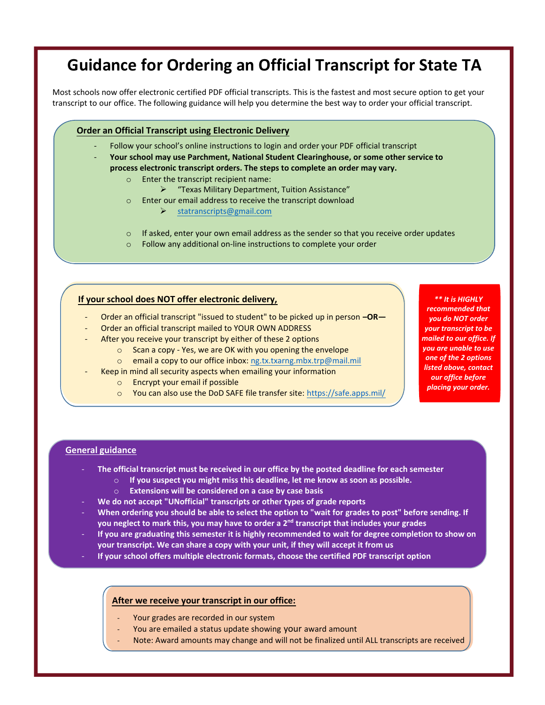# Guidance for Ordering an Official Transcript for State TA

Most schools now offer electronic certified PDF official transcripts. This is the fastest and most secure option to get your transcript to our office. The following guidance will help you determine the best way to order your official transcript.

#### Order an Official Transcript **using** Electronic Delivery

- Follow your school's online instructions to login and order your PDF official transcript
- **Y**our school **may** use Parchment, National Student Clearinghouse, or **some** other service to process electronic transcript orders**. The steps to complete an order may vary.**
	- o Enter the transcript recipient name:
		- "Texas Military Department, Tuition Assistance"
	- o Enter our email address to receive the transcript download
		- > statranscripts@gmail.com
	- o If asked, enter your own email address as the sender so that you receive order updates
	- o Follow any additional on-line instructions to complete your order

#### If your school does NOT offer electronic delivery,

- Order an official transcript "issued to student" to be picked up in person  $-OR-$
- Order an official transcript mailed to YOUR OWN ADDRESS
- After you receive your transcript by either of these 2 options
	- o Scan a copy Yes, we are OK with you opening the envelope
	- o email a copy to our office inbox: ng.tx.txarng.mbx.trp@mail.mil
- Keep in mind all security aspects when emailing your information
	- o Encrypt your email if possible
	- o You can also use the DoD SAFE file transfer site: https://safe.apps.mil/

\*\* It is HIGHLY recommended that you do NOT order your transcript to be mailed to our office. If you are unable to use one of the 2 options listed above, contact our office before placing your order.

#### General guidance

- The official transcript **must be received in** our office **by the posted deadline for each semester**
	- $\circ$  If you suspect you might miss this deadline, let me know as soon as possible.
		- o Ex**tension**s will be considered on a case by case basis
- We do not accept "UNofficial" transcripts or other types of grade reports
- When ordering you should **be able to select** the option to **"**wait for grades to post**"** before sending. If you neglect to mark this, you may have to order a 2<sup>nd</sup> transcript that includes your grades
- If you are graduating this semester it is highly recommended to wait for degree completion to show on your transcript. We can share a copy with your unit, if they will accept it from us
- If your school offers multiple electronic formats, choose the certified PDF transcript option

## **After we r**ecei**ve** your transcript in our office:

- Your grades are recorded in our system
- You are emailed a status update showing your award amount
- Note: Award amounts may change and will not be finalized until ALL transcripts are received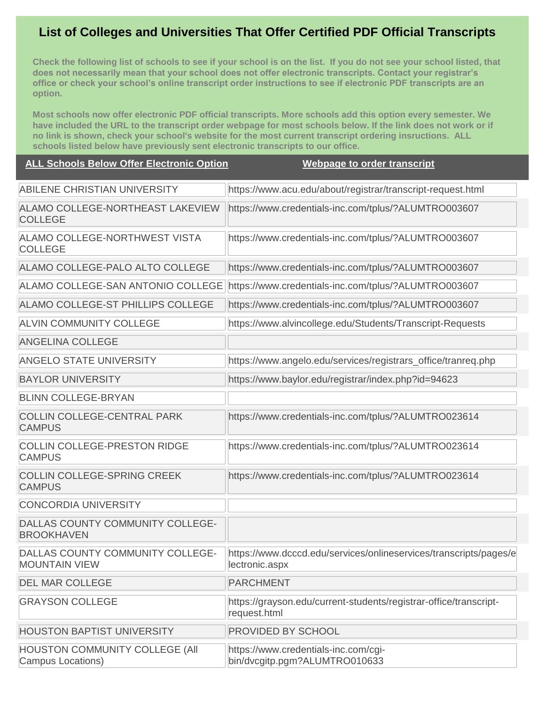# **List of Colleges and Universities That Offer Certified PDF Official Transcripts**

**Check the following list of schools to see if your school is on the list. If you do not see your school listed, that does not necessarily mean that your school does not offer electronic transcripts. Contact your registrar's office or check your school's online transcript order instructions to see if electronic PDF transcripts are an option.**

**Most schools now offer electronic PDF official transcripts. More schools add this option every semester. We have included the URL to the transcript order webpage for most schools below. If the link does not work or if no link is shown, check your school's website for the most current transcript ordering insructions. ALL schools listed below have previously sent electronic transcripts to our office.**

### **ALL Schools Below Offer Electronic Option Webpage to order transcript**

| ABILENE CHRISTIAN UNIVERSITY                             | https://www.acu.edu/about/registrar/transcript-request.html                         |
|----------------------------------------------------------|-------------------------------------------------------------------------------------|
| ALAMO COLLEGE-NORTHEAST LAKEVIEW<br><b>COLLEGE</b>       | https://www.credentials-inc.com/tplus/?ALUMTRO003607                                |
| ALAMO COLLEGE-NORTHWEST VISTA<br><b>COLLEGE</b>          | https://www.credentials-inc.com/tplus/?ALUMTRO003607                                |
| ALAMO COLLEGE-PALO ALTO COLLEGE                          | https://www.credentials-inc.com/tplus/?ALUMTRO003607                                |
| ALAMO COLLEGE-SAN ANTONIO COLLEGE                        | https://www.credentials-inc.com/tplus/?ALUMTRO003607                                |
| ALAMO COLLEGE-ST PHILLIPS COLLEGE                        | https://www.credentials-inc.com/tplus/?ALUMTRO003607                                |
| <b>ALVIN COMMUNITY COLLEGE</b>                           | https://www.alvincollege.edu/Students/Transcript-Requests                           |
| <b>ANGELINA COLLEGE</b>                                  |                                                                                     |
| <b>ANGELO STATE UNIVERSITY</b>                           | https://www.angelo.edu/services/registrars_office/tranreq.php                       |
| <b>BAYLOR UNIVERSITY</b>                                 | https://www.baylor.edu/registrar/index.php?id=94623                                 |
| <b>BLINN COLLEGE-BRYAN</b>                               |                                                                                     |
| <b>COLLIN COLLEGE-CENTRAL PARK</b><br><b>CAMPUS</b>      | https://www.credentials-inc.com/tplus/?ALUMTRO023614                                |
| <b>COLLIN COLLEGE-PRESTON RIDGE</b><br><b>CAMPUS</b>     | https://www.credentials-inc.com/tplus/?ALUMTRO023614                                |
| <b>COLLIN COLLEGE-SPRING CREEK</b><br><b>CAMPUS</b>      | https://www.credentials-inc.com/tplus/?ALUMTRO023614                                |
| <b>CONCORDIA UNIVERSITY</b>                              |                                                                                     |
| DALLAS COUNTY COMMUNITY COLLEGE-<br><b>BROOKHAVEN</b>    |                                                                                     |
| DALLAS COUNTY COMMUNITY COLLEGE-<br><b>MOUNTAIN VIEW</b> | https://www.dcccd.edu/services/onlineservices/transcripts/pages/e<br>lectronic.aspx |
| <b>DEL MAR COLLEGE</b>                                   | <b>PARCHMENT</b>                                                                    |
| <b>GRAYSON COLLEGE</b>                                   | https://grayson.edu/current-students/registrar-office/transcript-<br>request.html   |
| <b>HOUSTON BAPTIST UNIVERSITY</b>                        | <b>PROVIDED BY SCHOOL</b>                                                           |
| HOUSTON COMMUNITY COLLEGE (All<br>Campus Locations)      | https://www.credentials-inc.com/cgi-<br>bin/dvcgitp.pgm?ALUMTRO010633               |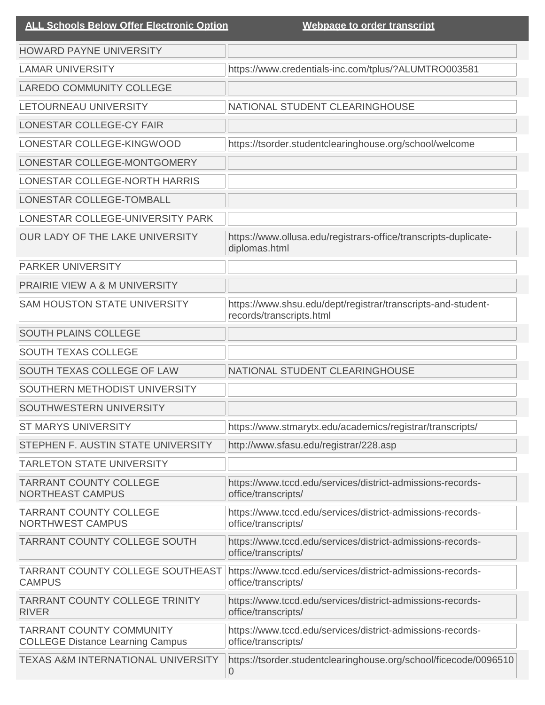| <b>ALL Schools Below Offer Electronic Option</b>                           | Webpage to order transcript                                                              |
|----------------------------------------------------------------------------|------------------------------------------------------------------------------------------|
| <b>HOWARD PAYNE UNIVERSITY</b>                                             |                                                                                          |
| <b>LAMAR UNIVERSITY</b>                                                    | https://www.credentials-inc.com/tplus/?ALUMTRO003581                                     |
| <b>LAREDO COMMUNITY COLLEGE</b>                                            |                                                                                          |
| LETOURNEAU UNIVERSITY                                                      | NATIONAL STUDENT CLEARINGHOUSE                                                           |
| LONESTAR COLLEGE-CY FAIR                                                   |                                                                                          |
| LONESTAR COLLEGE-KINGWOOD                                                  | https://tsorder.studentclearinghouse.org/school/welcome                                  |
| LONESTAR COLLEGE-MONTGOMERY                                                |                                                                                          |
| LONESTAR COLLEGE-NORTH HARRIS                                              |                                                                                          |
| LONESTAR COLLEGE-TOMBALL                                                   |                                                                                          |
| LONESTAR COLLEGE-UNIVERSITY PARK                                           |                                                                                          |
| OUR LADY OF THE LAKE UNIVERSITY                                            | https://www.ollusa.edu/registrars-office/transcripts-duplicate-<br>diplomas.html         |
| <b>PARKER UNIVERSITY</b>                                                   |                                                                                          |
| <b>PRAIRIE VIEW A &amp; M UNIVERSITY</b>                                   |                                                                                          |
| <b>SAM HOUSTON STATE UNIVERSITY</b>                                        | https://www.shsu.edu/dept/registrar/transcripts-and-student-<br>records/transcripts.html |
| <b>SOUTH PLAINS COLLEGE</b>                                                |                                                                                          |
| <b>SOUTH TEXAS COLLEGE</b>                                                 |                                                                                          |
| SOUTH TEXAS COLLEGE OF LAW                                                 | NATIONAL STUDENT CLEARINGHOUSE                                                           |
| SOUTHERN METHODIST UNIVERSITY                                              |                                                                                          |
| SOUTHWESTERN UNIVERSITY                                                    |                                                                                          |
| <b>ST MARYS UNIVERSITY</b>                                                 | https://www.stmarytx.edu/academics/registrar/transcripts/                                |
| <b>STEPHEN F. AUSTIN STATE UNIVERSITY</b>                                  | http://www.sfasu.edu/registrar/228.asp                                                   |
| <b>TARLETON STATE UNIVERSITY</b>                                           |                                                                                          |
| <b>TARRANT COUNTY COLLEGE</b><br><b>NORTHEAST CAMPUS</b>                   | https://www.tccd.edu/services/district-admissions-records-<br>office/transcripts/        |
| <b>TARRANT COUNTY COLLEGE</b><br><b>NORTHWEST CAMPUS</b>                   | https://www.tccd.edu/services/district-admissions-records-<br>office/transcripts/        |
| TARRANT COUNTY COLLEGE SOUTH                                               | https://www.tccd.edu/services/district-admissions-records-<br>office/transcripts/        |
| TARRANT COUNTY COLLEGE SOUTHEAST<br><b>CAMPUS</b>                          | https://www.tccd.edu/services/district-admissions-records-<br>office/transcripts/        |
| <b>TARRANT COUNTY COLLEGE TRINITY</b><br><b>RIVER</b>                      | https://www.tccd.edu/services/district-admissions-records-<br>office/transcripts/        |
| <b>TARRANT COUNTY COMMUNITY</b><br><b>COLLEGE Distance Learning Campus</b> | https://www.tccd.edu/services/district-admissions-records-<br>office/transcripts/        |
| <b>TEXAS A&amp;M INTERNATIONAL UNIVERSITY</b>                              | https://tsorder.studentclearinghouse.org/school/ficecode/0096510<br>0                    |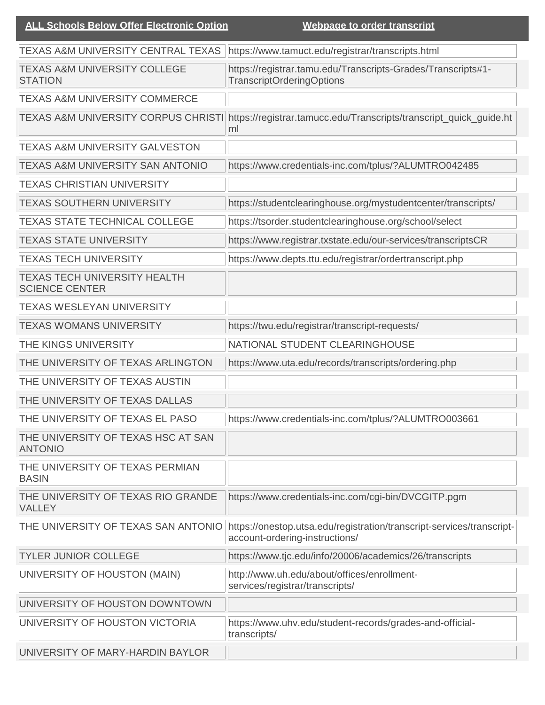| TEXAS A&M UNIVERSITY CENTRAL TEXAS                           | https://www.tamuct.edu/registrar/transcripts.html                                                       |
|--------------------------------------------------------------|---------------------------------------------------------------------------------------------------------|
| <b>TEXAS A&amp;M UNIVERSITY COLLEGE</b><br><b>STATION</b>    | https://registrar.tamu.edu/Transcripts-Grades/Transcripts#1-<br><b>TranscriptOrderingOptions</b>        |
| <b>TEXAS A&amp;M UNIVERSITY COMMERCE</b>                     |                                                                                                         |
| <b>TEXAS A&amp;M UNIVERSITY CORPUS CHRISTI</b>               | https://registrar.tamucc.edu/Transcripts/transcript_quick_guide.ht<br>ml                                |
| <b>TEXAS A&amp;M UNIVERSITY GALVESTON</b>                    |                                                                                                         |
| <b>TEXAS A&amp;M UNIVERSITY SAN ANTONIO</b>                  | https://www.credentials-inc.com/tplus/?ALUMTRO042485                                                    |
| <b>TEXAS CHRISTIAN UNIVERSITY</b>                            |                                                                                                         |
| <b>TEXAS SOUTHERN UNIVERSITY</b>                             | https://studentclearinghouse.org/mystudentcenter/transcripts/                                           |
| <b>TEXAS STATE TECHNICAL COLLEGE</b>                         | https://tsorder.studentclearinghouse.org/school/select                                                  |
| <b>TEXAS STATE UNIVERSITY</b>                                | https://www.registrar.txstate.edu/our-services/transcriptsCR                                            |
| <b>TEXAS TECH UNIVERSITY</b>                                 | https://www.depts.ttu.edu/registrar/ordertranscript.php                                                 |
| <b>TEXAS TECH UNIVERSITY HEALTH</b><br><b>SCIENCE CENTER</b> |                                                                                                         |
| <b>TEXAS WESLEYAN UNIVERSITY</b>                             |                                                                                                         |
| <b>TEXAS WOMANS UNIVERSITY</b>                               | https://twu.edu/registrar/transcript-requests/                                                          |
| THE KINGS UNIVERSITY                                         | NATIONAL STUDENT CLEARINGHOUSE                                                                          |
| THE UNIVERSITY OF TEXAS ARLINGTON                            | https://www.uta.edu/records/transcripts/ordering.php                                                    |
| THE UNIVERSITY OF TEXAS AUSTIN                               |                                                                                                         |
| THE UNIVERSITY OF TEXAS DALLAS                               |                                                                                                         |
| THE UNIVERSITY OF TEXAS EL PASO                              | https://www.credentials-inc.com/tplus/?ALUMTRO003661                                                    |
| THE UNIVERSITY OF TEXAS HSC AT SAN<br><b>ANTONIO</b>         |                                                                                                         |
| THE UNIVERSITY OF TEXAS PERMIAN<br><b>BASIN</b>              |                                                                                                         |
| THE UNIVERSITY OF TEXAS RIO GRANDE<br><b>VALLEY</b>          | https://www.credentials-inc.com/cgi-bin/DVCGITP.pgm                                                     |
| THE UNIVERSITY OF TEXAS SAN ANTONIO                          | https://onestop.utsa.edu/registration/transcript-services/transcript-<br>account-ordering-instructions/ |
| <b>TYLER JUNIOR COLLEGE</b>                                  | https://www.tjc.edu/info/20006/academics/26/transcripts                                                 |
| UNIVERSITY OF HOUSTON (MAIN)                                 | http://www.uh.edu/about/offices/enrollment-<br>services/registrar/transcripts/                          |
| UNIVERSITY OF HOUSTON DOWNTOWN                               |                                                                                                         |
| UNIVERSITY OF HOUSTON VICTORIA                               | https://www.uhv.edu/student-records/grades-and-official-<br>transcripts/                                |
| UNIVERSITY OF MARY-HARDIN BAYLOR                             |                                                                                                         |